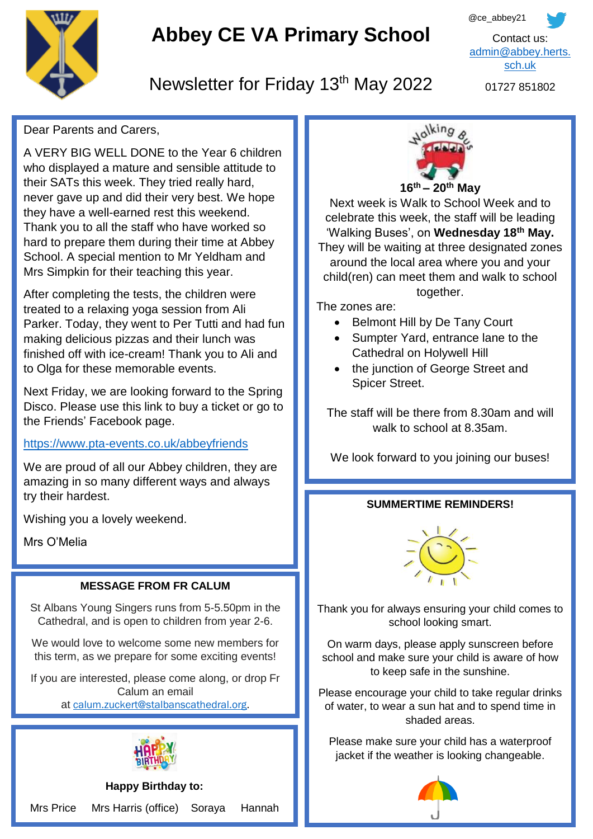

# **Abbey CE VA Primary School**



# Newsletter for Friday 13<sup>th</sup> May 2022

01727 851802

## Dear Parents and Carers,

A VERY BIG WELL DONE to the Year 6 children who displayed a mature and sensible attitude to their SATs this week. They tried really hard, never gave up and did their very best. We hope they have a well-earned rest this weekend. Thank you to all the staff who have worked so hard to prepare them during their time at Abbey School. A special mention to Mr Yeldham and Mrs Simpkin for their teaching this year.

After completing the tests, the children were treated to a relaxing yoga session from Ali Parker. Today, they went to Per Tutti and had fun making delicious pizzas and their lunch was finished off with ice-cream! Thank you to Ali and to Olga for these memorable events.

Next Friday, we are looking forward to the Spring Disco. Please use this link to buy a ticket or go to the Friends' Facebook page.

#### <https://www.pta-events.co.uk/abbeyfriends>

 try their hardest. We are proud of all our Abbey children, they are amazing in so many different ways and always

Wishing you a lovely weekend.

Mrs O'Melia

#### **MESSAGE FROM FR CALUM**

St Albans Young Singers runs from 5-5.50pm in the Cathedral, and is open to children from year 2-6.

We would love to welcome some new members for this term, as we prepare for some exciting events!

If you are interested, please come along, or drop Fr Calum an email at [calum.zuckert@stalbanscathedral.org.](mailto:calum.zuckert@stalbanscathedral.org)



**Happy Birthday to:** Mrs Price Mrs Harris (office) Soraya Hannah



Next week is Walk to School Week and to celebrate this week, the staff will be leading 'Walking Buses', on **Wednesday 18th May.** They will be waiting at three designated zones around the local area where you and your child(ren) can meet them and walk to school together.

The zones are:

- Belmont Hill by De Tany Court
- Sumpter Yard, entrance lane to the Cathedral on Holywell Hill
- the junction of George Street and Spicer Street.

The staff will be there from 8.30am and will walk to school at 8.35am.

We look forward to you joining our buses!

#### **SUMMERTIME REMINDERS!**



Thank you for always ensuring your child comes to school looking smart.

On warm days, please apply sunscreen before school and make sure your child is aware of how to keep safe in the sunshine.

Please encourage your child to take regular drinks of water, to wear a sun hat and to spend time in shaded areas.

Please make sure your child has a waterproof jacket if the weather is looking changeable.